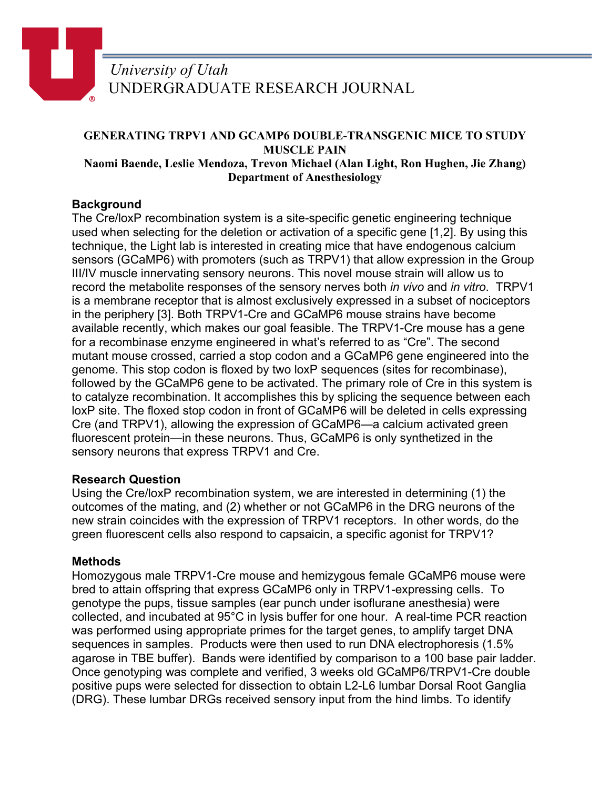

#### **GENERATING TRPV1 AND GCAMP6 DOUBLE-TRANSGENIC MICE TO STUDY MUSCLE PAIN Naomi Baende, Leslie Mendoza, Trevon Michael (Alan Light, Ron Hughen, Jie Zhang) Department of Anesthesiology**

# **Background**

The Cre/loxP recombination system is a site-specific genetic engineering technique used when selecting for the deletion or activation of a specific gene [1,2]. By using this technique, the Light lab is interested in creating mice that have endogenous calcium sensors (GCaMP6) with promoters (such as TRPV1) that allow expression in the Group III/IV muscle innervating sensory neurons. This novel mouse strain will allow us to record the metabolite responses of the sensory nerves both *in vivo* and *in vitro*. TRPV1 is a membrane receptor that is almost exclusively expressed in a subset of nociceptors in the periphery [3]. Both TRPV1-Cre and GCaMP6 mouse strains have become available recently, which makes our goal feasible. The TRPV1-Cre mouse has a gene for a recombinase enzyme engineered in what's referred to as "Cre". The second mutant mouse crossed, carried a stop codon and a GCaMP6 gene engineered into the genome. This stop codon is floxed by two loxP sequences (sites for recombinase), followed by the GCaMP6 gene to be activated. The primary role of Cre in this system is to catalyze recombination. It accomplishes this by splicing the sequence between each loxP site. The floxed stop codon in front of GCaMP6 will be deleted in cells expressing Cre (and TRPV1), allowing the expression of GCaMP6—a calcium activated green fluorescent protein—in these neurons. Thus, GCaMP6 is only synthetized in the sensory neurons that express TRPV1 and Cre.

### **Research Question**

Using the Cre/loxP recombination system, we are interested in determining (1) the outcomes of the mating, and (2) whether or not GCaMP6 in the DRG neurons of the new strain coincides with the expression of TRPV1 receptors. In other words, do the green fluorescent cells also respond to capsaicin, a specific agonist for TRPV1?

### **Methods**

Homozygous male TRPV1-Cre mouse and hemizygous female GCaMP6 mouse were bred to attain offspring that express GCaMP6 only in TRPV1-expressing cells. To genotype the pups, tissue samples (ear punch under isoflurane anesthesia) were collected, and incubated at 95°C in lysis buffer for one hour. A real-time PCR reaction was performed using appropriate primes for the target genes, to amplify target DNA sequences in samples. Products were then used to run DNA electrophoresis (1.5% agarose in TBE buffer). Bands were identified by comparison to a 100 base pair ladder. Once genotyping was complete and verified, 3 weeks old GCaMP6/TRPV1-Cre double positive pups were selected for dissection to obtain L2-L6 lumbar Dorsal Root Ganglia (DRG). These lumbar DRGs received sensory input from the hind limbs. To identify